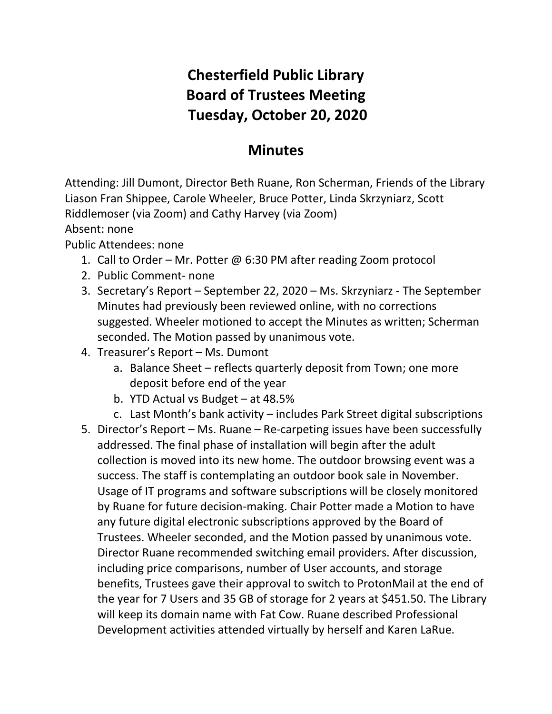## **Chesterfield Public Library Board of Trustees Meeting Tuesday, October 20, 2020**

## **Minutes**

Attending: Jill Dumont, Director Beth Ruane, Ron Scherman, Friends of the Library Liason Fran Shippee, Carole Wheeler, Bruce Potter, Linda Skrzyniarz, Scott Riddlemoser (via Zoom) and Cathy Harvey (via Zoom)

Absent: none

Public Attendees: none

- 1. Call to Order Mr. Potter @ 6:30 PM after reading Zoom protocol
- 2. Public Comment- none
- 3. Secretary's Report September 22, 2020 Ms. Skrzyniarz The September Minutes had previously been reviewed online, with no corrections suggested. Wheeler motioned to accept the Minutes as written; Scherman seconded. The Motion passed by unanimous vote.
- 4. Treasurer's Report Ms. Dumont
	- a. Balance Sheet reflects quarterly deposit from Town; one more deposit before end of the year
	- b. YTD Actual vs Budget at 48.5%
	- c. Last Month's bank activity includes Park Street digital subscriptions
- 5. Director's Report Ms. Ruane Re-carpeting issues have been successfully addressed. The final phase of installation will begin after the adult collection is moved into its new home. The outdoor browsing event was a success. The staff is contemplating an outdoor book sale in November. Usage of IT programs and software subscriptions will be closely monitored by Ruane for future decision-making. Chair Potter made a Motion to have any future digital electronic subscriptions approved by the Board of Trustees. Wheeler seconded, and the Motion passed by unanimous vote. Director Ruane recommended switching email providers. After discussion, including price comparisons, number of User accounts, and storage benefits, Trustees gave their approval to switch to ProtonMail at the end of the year for 7 Users and 35 GB of storage for 2 years at \$451.50. The Library will keep its domain name with Fat Cow. Ruane described Professional Development activities attended virtually by herself and Karen LaRue.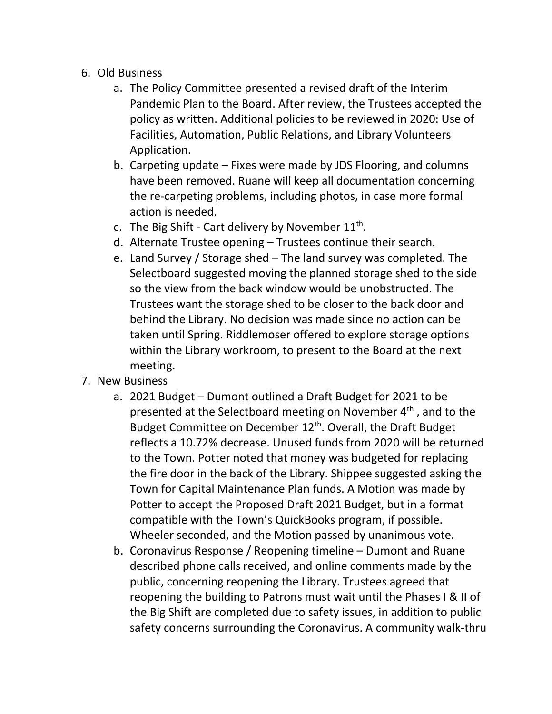## 6. Old Business

- a. The Policy Committee presented a revised draft of the Interim Pandemic Plan to the Board. After review, the Trustees accepted the policy as written. Additional policies to be reviewed in 2020: Use of Facilities, Automation, Public Relations, and Library Volunteers Application.
- b. Carpeting update Fixes were made by JDS Flooring, and columns have been removed. Ruane will keep all documentation concerning the re-carpeting problems, including photos, in case more formal action is needed.
- c. The Big Shift Cart delivery by November  $11<sup>th</sup>$ .
- d. Alternate Trustee opening Trustees continue their search.
- e. Land Survey / Storage shed The land survey was completed. The Selectboard suggested moving the planned storage shed to the side so the view from the back window would be unobstructed. The Trustees want the storage shed to be closer to the back door and behind the Library. No decision was made since no action can be taken until Spring. Riddlemoser offered to explore storage options within the Library workroom, to present to the Board at the next meeting.
- 7. New Business
	- a. 2021 Budget Dumont outlined a Draft Budget for 2021 to be presented at the Selectboard meeting on November 4<sup>th</sup>, and to the Budget Committee on December 12<sup>th</sup>. Overall, the Draft Budget reflects a 10.72% decrease. Unused funds from 2020 will be returned to the Town. Potter noted that money was budgeted for replacing the fire door in the back of the Library. Shippee suggested asking the Town for Capital Maintenance Plan funds. A Motion was made by Potter to accept the Proposed Draft 2021 Budget, but in a format compatible with the Town's QuickBooks program, if possible. Wheeler seconded, and the Motion passed by unanimous vote.
	- b. Coronavirus Response / Reopening timeline Dumont and Ruane described phone calls received, and online comments made by the public, concerning reopening the Library. Trustees agreed that reopening the building to Patrons must wait until the Phases I & II of the Big Shift are completed due to safety issues, in addition to public safety concerns surrounding the Coronavirus. A community walk-thru